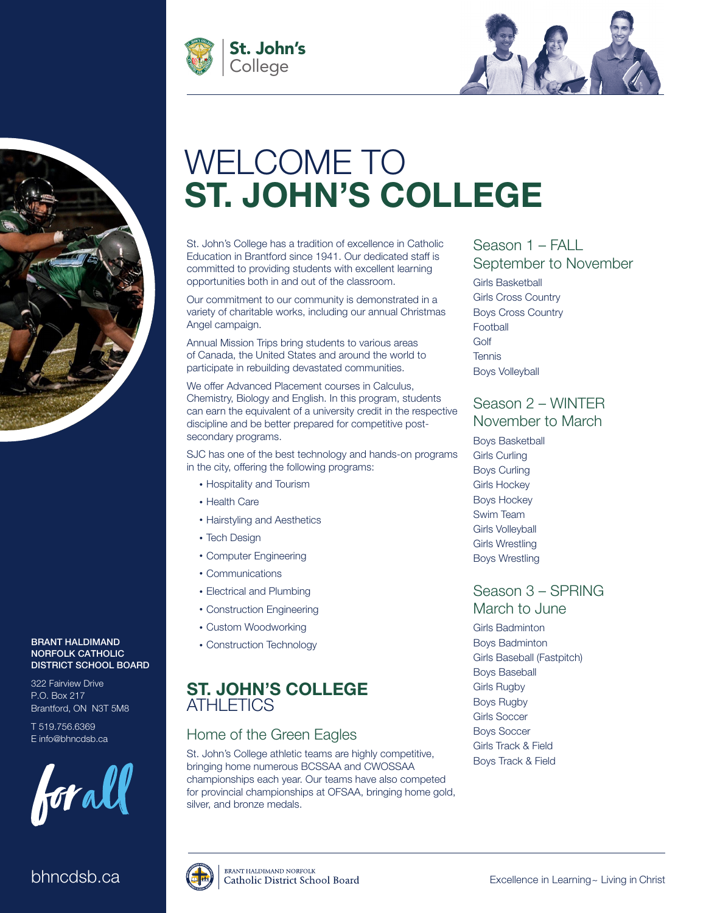



# WELCOME TO ST. JOHN'S COLLEGE

St. John's College has a tradition of excellence in Catholic Education in Brantford since 1941. Our dedicated staff is committed to providing students with excellent learning opportunities both in and out of the classroom.

Our commitment to our community is demonstrated in a variety of charitable works, including our annual Christmas Angel campaign.

Annual Mission Trips bring students to various areas of Canada, the United States and around the world to participate in rebuilding devastated communities.

We offer Advanced Placement courses in Calculus, Chemistry, Biology and English. In this program, students can earn the equivalent of a university credit in the respective discipline and be better prepared for competitive postsecondary programs.

SJC has one of the best technology and hands-on programs in the city, offering the following programs:

- Hospitality and Tourism
- Health Care
- Hairstyling and Aesthetics
- Tech Design
- Computer Engineering
- Communications
- Electrical and Plumbing
- Construction Engineering
- Custom Woodworking
- Construction Technology

## ST. JOHN'S COLLEGE **ATHLETICS**

## Home of the Green Eagles

St. John's College athletic teams are highly competitive, bringing home numerous BCSSAA and CWOSSAA championships each year. Our teams have also competed for provincial championships at OFSAA, bringing home gold, silver, and bronze medals.

## Season 1 – FALL

September to November Girls Basketball Girls Cross Country Boys Cross Country **Football** Golf **Tennis** Boys Volleyball

## Season 2 – WINTER November to March

Boys Basketball Girls Curling Boys Curling Girls Hockey Boys Hockey Swim Team Girls Volleyball Girls Wrestling Boys Wrestling

## Season 3 – SPRING March to June

Girls Badminton Boys Badminton Girls Baseball (Fastpitch) Boys Baseball Girls Rugby Boys Rugby Girls Soccer Boys Soccer Girls Track & Field Boys Track & Field

### BRANT HALDIMAND NORFOLK CATHOLIC DISTRICT SCHOOL BOARD

322 Fairview Drive P.O. Box 217 Brantford, ON N3T 5M8

T 519.756.6369 E info@bhncdsb.ca



## bhncdsb.ca